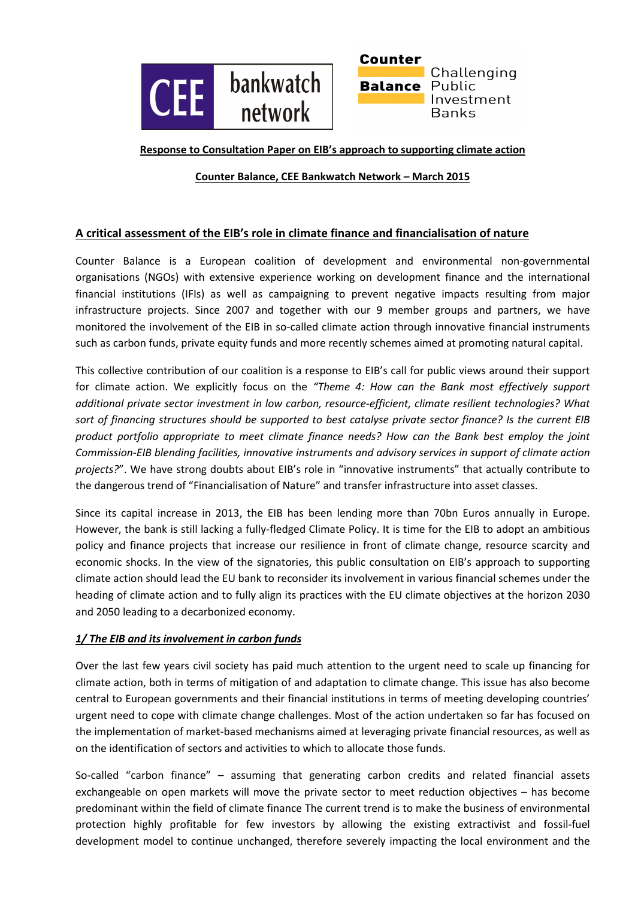



#### **Response to Consultation Paper on EIB's approach to supporting climate action**

## **Counter Balance, CEE Bankwatch Network – March 2015**

# **A critical assessment of the EIB's role in climate finance and financialisation of nature**

Counter Balance is a European coalition of development and environmental non-governmental organisations (NGOs) with extensive experience working on development finance and the international financial institutions (IFIs) as well as campaigning to prevent negative impacts resulting from major infrastructure projects. Since 2007 and together with our 9 member groups and partners, we have monitored the involvement of the EIB in so-called climate action through innovative financial instruments such as carbon funds, private equity funds and more recently schemes aimed at promoting natural capital.

This collective contribution of our coalition is a response to EIB's call for public views around their support for climate action. We explicitly focus on the *"Theme 4: How can the Bank most effectively support additional private sector investment in low carbon, resource-efficient, climate resilient technologies? What sort of financing structures should be supported to best catalyse private sector finance? Is the current EIB product portfolio appropriate to meet climate finance needs? How can the Bank best employ the joint Commission-EIB blending facilities, innovative instruments and advisory services in support of climate action projects?*". We have strong doubts about EIB's role in "innovative instruments" that actually contribute to the dangerous trend of "Financialisation of Nature" and transfer infrastructure into asset classes.

Since its capital increase in 2013, the EIB has been lending more than 70bn Euros annually in Europe. However, the bank is still lacking a fully-fledged Climate Policy. It is time for the EIB to adopt an ambitious policy and finance projects that increase our resilience in front of climate change, resource scarcity and economic shocks. In the view of the signatories, this public consultation on EIB's approach to supporting climate action should lead the EU bank to reconsider its involvement in various financial schemes under the heading of climate action and to fully align its practices with the EU climate objectives at the horizon 2030 and 2050 leading to a decarbonized economy.

#### *1/ The EIB and its involvement in carbon funds*

Over the last few years civil society has paid much attention to the urgent need to scale up financing for climate action, both in terms of mitigation of and adaptation to climate change. This issue has also become central to European governments and their financial institutions in terms of meeting developing countries' urgent need to cope with climate change challenges. Most of the action undertaken so far has focused on the implementation of market-based mechanisms aimed at leveraging private financial resources, as well as on the identification of sectors and activities to which to allocate those funds.

So-called "carbon finance" – assuming that generating carbon credits and related financial assets exchangeable on open markets will move the private sector to meet reduction objectives – has become predominant within the field of climate finance The current trend is to make the business of environmental protection highly profitable for few investors by allowing the existing extractivist and fossil-fuel development model to continue unchanged, therefore severely impacting the local environment and the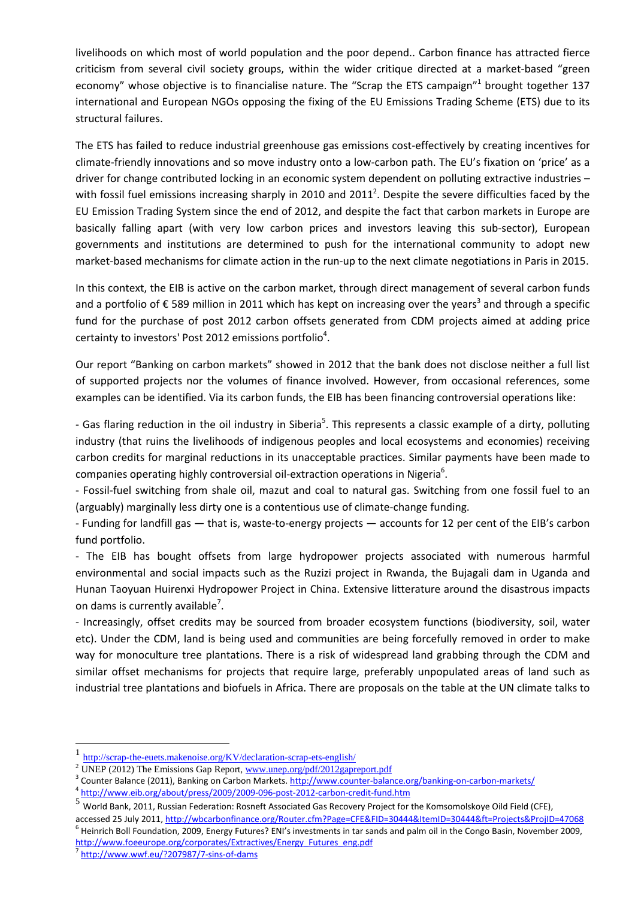livelihoods on which most of world population and the poor depend.. Carbon finance has attracted fierce criticism from several civil society groups, within the wider critique directed at a market-based "green economy" whose objective is to financialise nature. The "Scrap the ETS campaign"<sup>1</sup> brought together 137 international and European NGOs opposing the fixing of the EU Emissions Trading Scheme (ETS) due to its structural failures.

The ETS has failed to reduce industrial greenhouse gas emissions cost-effectively by creating incentives for climate-friendly innovations and so move industry onto a low-carbon path. The EU's fixation on 'price' as a driver for change contributed locking in an economic system dependent on polluting extractive industries – with fossil fuel emissions increasing sharply in 2010 and 2011<sup>2</sup>. Despite the severe difficulties faced by the EU Emission Trading System since the end of 2012, and despite the fact that carbon markets in Europe are basically falling apart (with very low carbon prices and investors leaving this sub-sector), European governments and institutions are determined to push for the international community to adopt new market-based mechanisms for climate action in the run-up to the next climate negotiations in Paris in 2015.

In this context, the EIB is active on the carbon market, through direct management of several carbon funds and a portfolio of € 589 million in 2011 which has kept on increasing over the years<sup>3</sup> and through a specific fund for the purchase of post 2012 carbon offsets generated from CDM projects aimed at adding price certainty to investors' Post 2012 emissions portfolio<sup>4</sup>.

Our report "Banking on carbon markets" showed in 2012 that the bank does not disclose neither a full list of supported projects nor the volumes of finance involved. However, from occasional references, some examples can be identified. Via its carbon funds, the EIB has been financing controversial operations like:

- Gas flaring reduction in the oil industry in Siberia<sup>5</sup>. This represents a classic example of a dirty, polluting industry (that ruins the livelihoods of indigenous peoples and local ecosystems and economies) receiving carbon credits for marginal reductions in its unacceptable practices. Similar payments have been made to companies operating highly controversial oil-extraction operations in Nigeria $6$ .

- Fossil-fuel switching from shale oil, mazut and coal to natural gas. Switching from one fossil fuel to an (arguably) marginally less dirty one is a contentious use of climate-change funding.

- Funding for landfill gas — that is, waste-to-energy projects — accounts for 12 per cent of the EIB's carbon fund portfolio.

- The EIB has bought offsets from large hydropower projects associated with numerous harmful environmental and social impacts such as the Ruzizi project in Rwanda, the Bujagali dam in Uganda and Hunan Taoyuan Huirenxi Hydropower Project in China. Extensive litterature around the disastrous impacts on dams is currently available<sup>7</sup>.

- Increasingly, offset credits may be sourced from broader ecosystem functions (biodiversity, soil, water etc). Under the CDM, land is being used and communities are being forcefully removed in order to make way for monoculture tree plantations. There is a risk of widespread land grabbing through the CDM and similar offset mechanisms for projects that require large, preferably unpopulated areas of land such as industrial tree plantations and biofuels in Africa. There are proposals on the table at the UN climate talks to

4 http://www.eib.org/about/press/2009/2009-096-post-2012-carbon-credit-fund.htm

<sup>1</sup> http://scrap-the-euets.makenoise.org/KV/declaration-scrap-ets-english/

<sup>&</sup>lt;sup>2</sup> UNEP (2012) The Emissions Gap Report,  $\frac{www.unep.org/pdf/2012gaperport.pdf}{$ 

<sup>&</sup>lt;sup>3</sup> Counter Balance (2011), Banking on Carbon Markets. http://www.counter-balance.org/banking-on-carbon-markets/

 $5\overline{\rm{World}}$  Bank, 2011, Russian Federation: Rosneft Associated Gas Recovery Project for the Komsomolskoye Oild Field (CFE),

accessed 25 July 2011, http://wbcarbonfinance.org/Router.cfm?Page=CFE&FID=30444&ItemID=30444&ft=Projects&ProjID=47068 <sup>6</sup> Heinrich Boll Foundation, 2009, Energy Futures? ENI's investments in tar sands and palm oil in the Congo Basin, November 2009, http://www.foeeurope.org/corporates/Extractives/Energy\_Futures\_eng.pdf

<sup>&</sup>lt;sup>7</sup> http://www.wwf.eu/?207987/7-sins-of-dams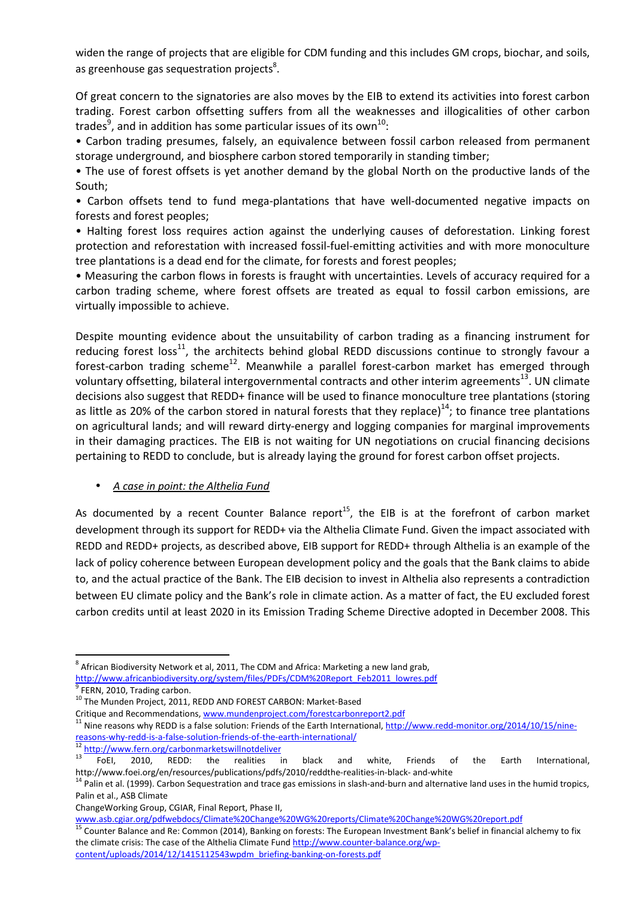widen the range of projects that are eligible for CDM funding and this includes GM crops, biochar, and soils, as greenhouse gas sequestration projects<sup>8</sup>.

Of great concern to the signatories are also moves by the EIB to extend its activities into forest carbon trading. Forest carbon offsetting suffers from all the weaknesses and illogicalities of other carbon trades<sup>9</sup>, and in addition has some particular issues of its own<sup>10</sup>:

• Carbon trading presumes, falsely, an equivalence between fossil carbon released from permanent storage underground, and biosphere carbon stored temporarily in standing timber;

• The use of forest offsets is yet another demand by the global North on the productive lands of the South;

• Carbon offsets tend to fund mega-plantations that have well-documented negative impacts on forests and forest peoples;

• Halting forest loss requires action against the underlying causes of deforestation. Linking forest protection and reforestation with increased fossil-fuel-emitting activities and with more monoculture tree plantations is a dead end for the climate, for forests and forest peoples;

• Measuring the carbon flows in forests is fraught with uncertainties. Levels of accuracy required for a carbon trading scheme, where forest offsets are treated as equal to fossil carbon emissions, are virtually impossible to achieve.

Despite mounting evidence about the unsuitability of carbon trading as a financing instrument for reducing forest loss<sup>11</sup>, the architects behind global REDD discussions continue to strongly favour a forest-carbon trading scheme<sup>12</sup>. Meanwhile a parallel forest-carbon market has emerged through voluntary offsetting, bilateral intergovernmental contracts and other interim agreements<sup>13</sup>. UN climate decisions also suggest that REDD+ finance will be used to finance monoculture tree plantations (storing as little as 20% of the carbon stored in natural forests that they replace)<sup>14</sup>; to finance tree plantations on agricultural lands; and will reward dirty-energy and logging companies for marginal improvements in their damaging practices. The EIB is not waiting for UN negotiations on crucial financing decisions pertaining to REDD to conclude, but is already laying the ground for forest carbon offset projects.

• *A case in point: the Althelia Fund* 

As documented by a recent Counter Balance report<sup>15</sup>, the EIB is at the forefront of carbon market development through its support for REDD+ via the Althelia Climate Fund. Given the impact associated with REDD and REDD+ projects, as described above, EIB support for REDD+ through Althelia is an example of the lack of policy coherence between European development policy and the goals that the Bank claims to abide to, and the actual practice of the Bank. The EIB decision to invest in Althelia also represents a contradiction between EU climate policy and the Bank's role in climate action. As a matter of fact, the EU excluded forest carbon credits until at least 2020 in its Emission Trading Scheme Directive adopted in December 2008. This

reasons-why-redd-is-a-false-solution-friends-of-the-earth-international/

 $\frac{12 \text{ http://www.fern.org/carbonmarketswillnot deliver}}{13 \text{ Teb}}$ 

 $^8$  African Biodiversity Network et al, 2011, The CDM and Africa: Marketing a new land grab, http://www.africanbiodiversity.org/system/files/PDFs/CDM%20Report\_Feb2011\_lowres.pdf 9 FERN, 2010, Trading carbon.

<sup>&</sup>lt;sup>10</sup> The Munden Project, 2011, REDD AND FOREST CARBON: Market-Based

Critique and Recommendations, www.mundenproject.com/forestcarbonreport2.pdf <sup>11</sup> Nine reasons why REDD is a false solution: Friends of the Earth International, http://www.redd-monitor.org/2014/10/15/nine-

<sup>&</sup>lt;sup>13</sup> FoEI, 2010, REDD: the realities in black and white, Friends of the Earth International, http://www.foei.org/en/resources/publications/pdfs/2010/reddthe-realities-in-black- and-white

<sup>&</sup>lt;sup>14</sup> Palin et al. (1999). Carbon Sequestration and trace gas emissions in slash-and-burn and alternative land uses in the humid tropics, Palin et al., ASB Climate

ChangeWorking Group, CGIAR, Final Report, Phase II,

www.asb.cgiar.org/pdfwebdocs/Climate%20Change%20WG%20reports/Climate%20Change%20WG%20report.pdf

<sup>&</sup>lt;sup>15</sup> Counter Balance and Re: Common (2014), Banking on forests: The European Investment Bank's belief in financial alchemy to fix the climate crisis: The case of the Althelia Climate Fund http://www.counter-balance.org/wpcontent/uploads/2014/12/1415112543wpdm\_briefing-banking-on-forests.pdf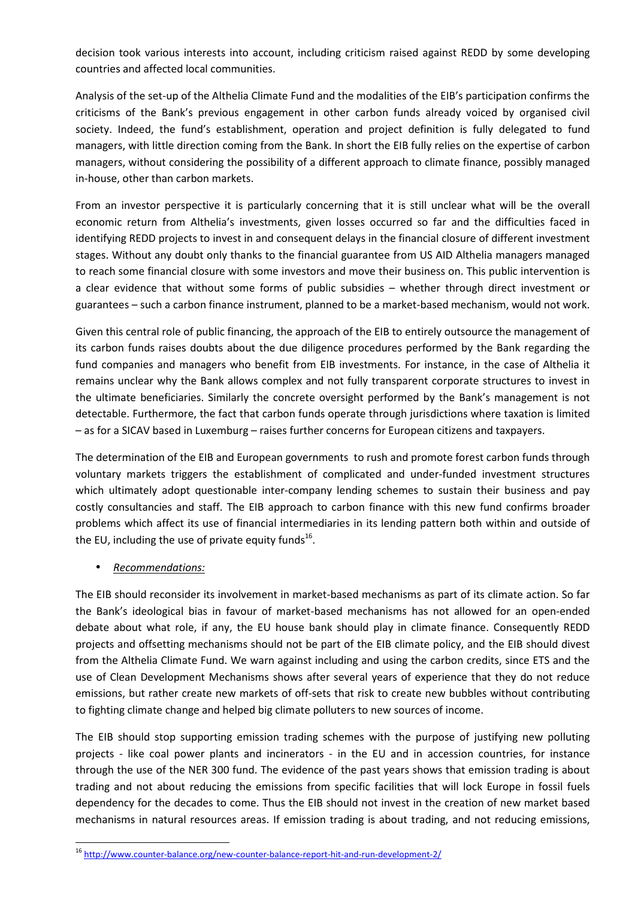decision took various interests into account, including criticism raised against REDD by some developing countries and affected local communities.

Analysis of the set-up of the Althelia Climate Fund and the modalities of the EIB's participation confirms the criticisms of the Bank's previous engagement in other carbon funds already voiced by organised civil society. Indeed, the fund's establishment, operation and project definition is fully delegated to fund managers, with little direction coming from the Bank. In short the EIB fully relies on the expertise of carbon managers, without considering the possibility of a different approach to climate finance, possibly managed in-house, other than carbon markets.

From an investor perspective it is particularly concerning that it is still unclear what will be the overall economic return from Althelia's investments, given losses occurred so far and the difficulties faced in identifying REDD projects to invest in and consequent delays in the financial closure of different investment stages. Without any doubt only thanks to the financial guarantee from US AID Althelia managers managed to reach some financial closure with some investors and move their business on. This public intervention is a clear evidence that without some forms of public subsidies – whether through direct investment or guarantees – such a carbon finance instrument, planned to be a market-based mechanism, would not work.

Given this central role of public financing, the approach of the EIB to entirely outsource the management of its carbon funds raises doubts about the due diligence procedures performed by the Bank regarding the fund companies and managers who benefit from EIB investments. For instance, in the case of Althelia it remains unclear why the Bank allows complex and not fully transparent corporate structures to invest in the ultimate beneficiaries. Similarly the concrete oversight performed by the Bank's management is not detectable. Furthermore, the fact that carbon funds operate through jurisdictions where taxation is limited – as for a SICAV based in Luxemburg – raises further concerns for European citizens and taxpayers.

The determination of the EIB and European governments to rush and promote forest carbon funds through voluntary markets triggers the establishment of complicated and under-funded investment structures which ultimately adopt questionable inter-company lending schemes to sustain their business and pay costly consultancies and staff. The EIB approach to carbon finance with this new fund confirms broader problems which affect its use of financial intermediaries in its lending pattern both within and outside of the EU, including the use of private equity funds<sup>16</sup>.

• *Recommendations:* 

l

The EIB should reconsider its involvement in market-based mechanisms as part of its climate action. So far the Bank's ideological bias in favour of market-based mechanisms has not allowed for an open-ended debate about what role, if any, the EU house bank should play in climate finance. Consequently REDD projects and offsetting mechanisms should not be part of the EIB climate policy, and the EIB should divest from the Althelia Climate Fund. We warn against including and using the carbon credits, since ETS and the use of Clean Development Mechanisms shows after several years of experience that they do not reduce emissions, but rather create new markets of off-sets that risk to create new bubbles without contributing to fighting climate change and helped big climate polluters to new sources of income.

The EIB should stop supporting emission trading schemes with the purpose of justifying new polluting projects - like coal power plants and incinerators - in the EU and in accession countries, for instance through the use of the NER 300 fund. The evidence of the past years shows that emission trading is about trading and not about reducing the emissions from specific facilities that will lock Europe in fossil fuels dependency for the decades to come. Thus the EIB should not invest in the creation of new market based mechanisms in natural resources areas. If emission trading is about trading, and not reducing emissions,

<sup>16</sup> http://www.counter-balance.org/new-counter-balance-report-hit-and-run-development-2/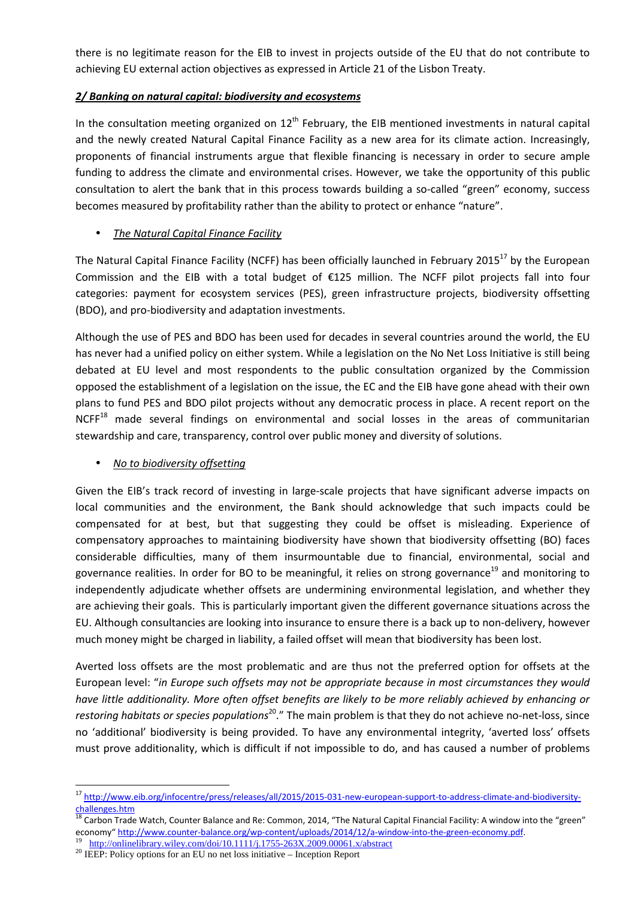there is no legitimate reason for the EIB to invest in projects outside of the EU that do not contribute to achieving EU external action objectives as expressed in Article 21 of the Lisbon Treaty.

## *2/ Banking on natural capital: biodiversity and ecosystems*

In the consultation meeting organized on  $12<sup>th</sup>$  February, the EIB mentioned investments in natural capital and the newly created Natural Capital Finance Facility as a new area for its climate action. Increasingly, proponents of financial instruments argue that flexible financing is necessary in order to secure ample funding to address the climate and environmental crises. However, we take the opportunity of this public consultation to alert the bank that in this process towards building a so-called "green" economy, success becomes measured by profitability rather than the ability to protect or enhance "nature".

# • *The Natural Capital Finance Facility*

The Natural Capital Finance Facility (NCFF) has been officially launched in February 2015<sup>17</sup> by the European Commission and the EIB with a total budget of €125 million. The NCFF pilot projects fall into four categories: payment for ecosystem services (PES), green infrastructure projects, biodiversity offsetting (BDO), and pro-biodiversity and adaptation investments.

Although the use of PES and BDO has been used for decades in several countries around the world, the EU has never had a unified policy on either system. While a legislation on the No Net Loss Initiative is still being debated at EU level and most respondents to the public consultation organized by the Commission opposed the establishment of a legislation on the issue, the EC and the EIB have gone ahead with their own plans to fund PES and BDO pilot projects without any democratic process in place. A recent report on the NCFF<sup>18</sup> made several findings on environmental and social losses in the areas of communitarian stewardship and care, transparency, control over public money and diversity of solutions.

#### • *No to biodiversity offsetting*

Given the EIB's track record of investing in large-scale projects that have significant adverse impacts on local communities and the environment, the Bank should acknowledge that such impacts could be compensated for at best, but that suggesting they could be offset is misleading. Experience of compensatory approaches to maintaining biodiversity have shown that biodiversity offsetting (BO) faces considerable difficulties, many of them insurmountable due to financial, environmental, social and governance realities. In order for BO to be meaningful, it relies on strong governance<sup>19</sup> and monitoring to independently adjudicate whether offsets are undermining environmental legislation, and whether they are achieving their goals. This is particularly important given the different governance situations across the EU. Although consultancies are looking into insurance to ensure there is a back up to non-delivery, however much money might be charged in liability, a failed offset will mean that biodiversity has been lost.

Averted loss offsets are the most problematic and are thus not the preferred option for offsets at the European level: "*in Europe such offsets may not be appropriate because in most circumstances they would have little additionality. More often offset benefits are likely to be more reliably achieved by enhancing or restoring habitats or species populations*<sup>20</sup>." The main problem is that they do not achieve no-net-loss, since no 'additional' biodiversity is being provided. To have any environmental integrity, 'averted loss' offsets must prove additionality, which is difficult if not impossible to do, and has caused a number of problems

 $\overline{a}$ 

<sup>&</sup>lt;sup>17</sup> http://www.eib.org/infocentre/press/releases/all/2015/2015-031-new-european-support-to-address-climate-and-biodiversitychallenges.htm

<sup>18</sup> Carbon Trade Watch, Counter Balance and Re: Common, 2014, "The Natural Capital Financial Facility: A window into the "green" economy" http://www.counter-balance.org/wp-content/uploads/2014/12/a-window-into-the-green-economy.pdf.

<sup>&</sup>lt;sup>19</sup> http://onlinelibrary.wiley.com/doi/10.1111/j.1755-263X.2009.00061.x/abstract

<sup>20</sup> IEEP: Policy options for an EU no net loss initiative – Inception Report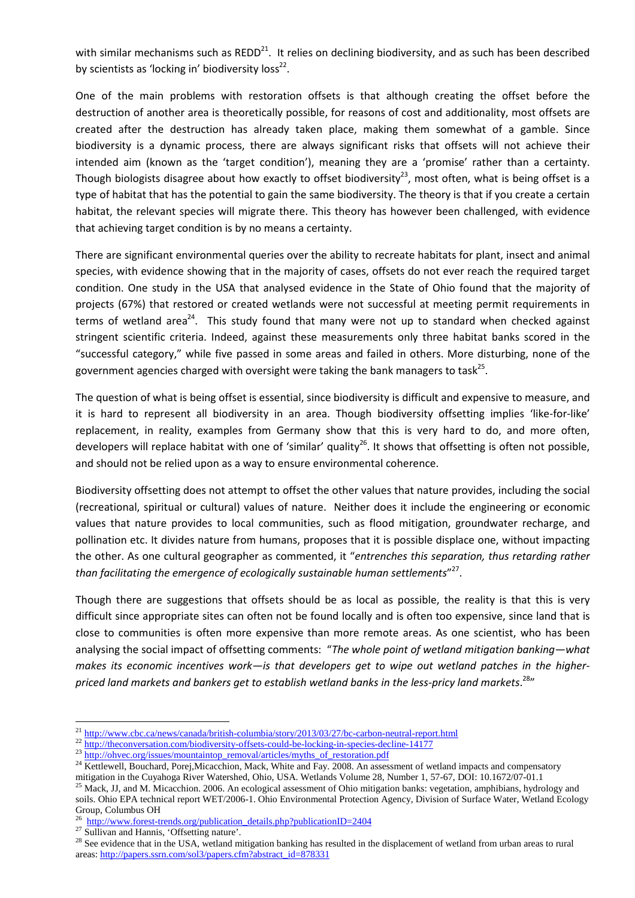with similar mechanisms such as  $REDD<sup>21</sup>$ . It relies on declining biodiversity, and as such has been described by scientists as 'locking in' biodiversity loss $^{22}$ .

One of the main problems with restoration offsets is that although creating the offset before the destruction of another area is theoretically possible, for reasons of cost and additionality, most offsets are created after the destruction has already taken place, making them somewhat of a gamble. Since biodiversity is a dynamic process, there are always significant risks that offsets will not achieve their intended aim (known as the 'target condition'), meaning they are a 'promise' rather than a certainty. Though biologists disagree about how exactly to offset biodiversity<sup>23</sup>, most often, what is being offset is a type of habitat that has the potential to gain the same biodiversity. The theory is that if you create a certain habitat, the relevant species will migrate there. This theory has however been challenged, with evidence that achieving target condition is by no means a certainty.

There are significant environmental queries over the ability to recreate habitats for plant, insect and animal species, with evidence showing that in the majority of cases, offsets do not ever reach the required target condition. One study in the USA that analysed evidence in the State of Ohio found that the majority of projects (67%) that restored or created wetlands were not successful at meeting permit requirements in terms of wetland area<sup>24</sup>. This study found that many were not up to standard when checked against stringent scientific criteria. Indeed, against these measurements only three habitat banks scored in the "successful category," while five passed in some areas and failed in others. More disturbing, none of the government agencies charged with oversight were taking the bank managers to task<sup>25</sup>.

The question of what is being offset is essential, since biodiversity is difficult and expensive to measure, and it is hard to represent all biodiversity in an area. Though biodiversity offsetting implies 'like-for-like' replacement, in reality, examples from Germany show that this is very hard to do, and more often, developers will replace habitat with one of 'similar' quality<sup>26</sup>. It shows that offsetting is often not possible, and should not be relied upon as a way to ensure environmental coherence.

Biodiversity offsetting does not attempt to offset the other values that nature provides, including the social (recreational, spiritual or cultural) values of nature. Neither does it include the engineering or economic values that nature provides to local communities, such as flood mitigation, groundwater recharge, and pollination etc. It divides nature from humans, proposes that it is possible displace one, without impacting the other. As one cultural geographer as commented, it "*entrenches this separation, thus retarding rather than facilitating the emergence of ecologically sustainable human settlements*" 27 .

Though there are suggestions that offsets should be as local as possible, the reality is that this is very difficult since appropriate sites can often not be found locally and is often too expensive, since land that is close to communities is often more expensive than more remote areas. As one scientist, who has been analysing the social impact of offsetting comments: "*The whole point of wetland mitigation banking—what makes its economic incentives work—is that developers get to wipe out wetland patches in the higherpriced land markets and bankers get to establish wetland banks in the less-pricy land markets*. <sup>28</sup>"

<sup>&</sup>lt;sup>21</sup> http://www.cbc.ca/news/canada/british-columbia/story/2013/03/27/bc-carbon-neutral-report.html

<sup>&</sup>lt;sup>22</sup> http://theconversation.com/biodiversity-offsets-could-be-locking-in-species-decline-14177

<sup>&</sup>lt;sup>23</sup> http://ohvec.org/issues/mountaintop\_removal/articles/myths\_of\_restoration.pdf

<sup>&</sup>lt;sup>24</sup> Kettlewell, Bouchard, Porej,Micacchion, Mack, White and Fay. 2008. An assessment of wetland impacts and compensatory mitigation in the Cuyahoga River Watershed, Ohio, USA. Wetlands Volume 28, Number 1, 57-67, DOI: 10.1672/07-01.1

<sup>&</sup>lt;sup>25</sup> Mack, JJ, and M. Micacchion. 2006. An ecological assessment of Ohio mitigation banks: vegetation, amphibians, hydrology and soils. Ohio EPA technical report WET/2006-1. Ohio Environmental Protection Agency, Division of Surface Water, Wetland Ecology Group, Columbus OH

<sup>&</sup>lt;sup>26</sup> http://www.forest-trends.org/publication\_details.php?publicationID=2404

<sup>&</sup>lt;sup>27</sup> Sullivan and Hannis, 'Offsetting nature'.

 $28$  See evidence that in the USA, wetland mitigation banking has resulted in the displacement of wetland from urban areas to rural areas: http://papers.ssrn.com/sol3/papers.cfm?abstract\_id=878331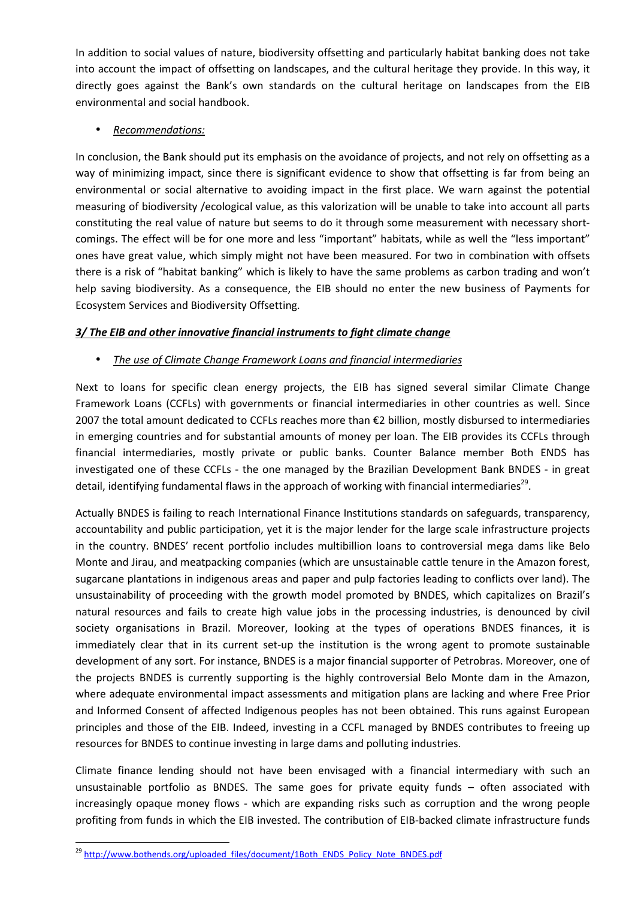In addition to social values of nature, biodiversity offsetting and particularly habitat banking does not take into account the impact of offsetting on landscapes, and the cultural heritage they provide. In this way, it directly goes against the Bank's own standards on the cultural heritage on landscapes from the EIB environmental and social handbook.

## • *Recommendations:*

In conclusion, the Bank should put its emphasis on the avoidance of projects, and not rely on offsetting as a way of minimizing impact, since there is significant evidence to show that offsetting is far from being an environmental or social alternative to avoiding impact in the first place. We warn against the potential measuring of biodiversity /ecological value, as this valorization will be unable to take into account all parts constituting the real value of nature but seems to do it through some measurement with necessary shortcomings. The effect will be for one more and less "important" habitats, while as well the "less important" ones have great value, which simply might not have been measured. For two in combination with offsets there is a risk of "habitat banking" which is likely to have the same problems as carbon trading and won't help saving biodiversity. As a consequence, the EIB should no enter the new business of Payments for Ecosystem Services and Biodiversity Offsetting.

## *3/ The EIB and other innovative financial instruments to fight climate change*

## • *The use of Climate Change Framework Loans and financial intermediaries*

Next to loans for specific clean energy projects, the EIB has signed several similar Climate Change Framework Loans (CCFLs) with governments or financial intermediaries in other countries as well. Since 2007 the total amount dedicated to CCFLs reaches more than €2 billion, mostly disbursed to intermediaries in emerging countries and for substantial amounts of money per loan. The EIB provides its CCFLs through financial intermediaries, mostly private or public banks. Counter Balance member Both ENDS has investigated one of these CCFLs - the one managed by the Brazilian Development Bank BNDES - in great detail, identifying fundamental flaws in the approach of working with financial intermediaries<sup>29</sup>.

Actually BNDES is failing to reach International Finance Institutions standards on safeguards, transparency, accountability and public participation, yet it is the major lender for the large scale infrastructure projects in the country. BNDES' recent portfolio includes multibillion loans to controversial mega dams like Belo Monte and Jirau, and meatpacking companies (which are unsustainable cattle tenure in the Amazon forest, sugarcane plantations in indigenous areas and paper and pulp factories leading to conflicts over land). The unsustainability of proceeding with the growth model promoted by BNDES, which capitalizes on Brazil's natural resources and fails to create high value jobs in the processing industries, is denounced by civil society organisations in Brazil. Moreover, looking at the types of operations BNDES finances, it is immediately clear that in its current set-up the institution is the wrong agent to promote sustainable development of any sort. For instance, BNDES is a major financial supporter of Petrobras. Moreover, one of the projects BNDES is currently supporting is the highly controversial Belo Monte dam in the Amazon, where adequate environmental impact assessments and mitigation plans are lacking and where Free Prior and Informed Consent of affected Indigenous peoples has not been obtained. This runs against European principles and those of the EIB. Indeed, investing in a CCFL managed by BNDES contributes to freeing up resources for BNDES to continue investing in large dams and polluting industries.

Climate finance lending should not have been envisaged with a financial intermediary with such an unsustainable portfolio as BNDES. The same goes for private equity funds – often associated with increasingly opaque money flows - which are expanding risks such as corruption and the wrong people profiting from funds in which the EIB invested. The contribution of EIB-backed climate infrastructure funds

<sup>&</sup>lt;sup>29</sup> http://www.bothends.org/uploaded\_files/document/1Both\_ENDS\_Policy\_Note\_BNDES.pdf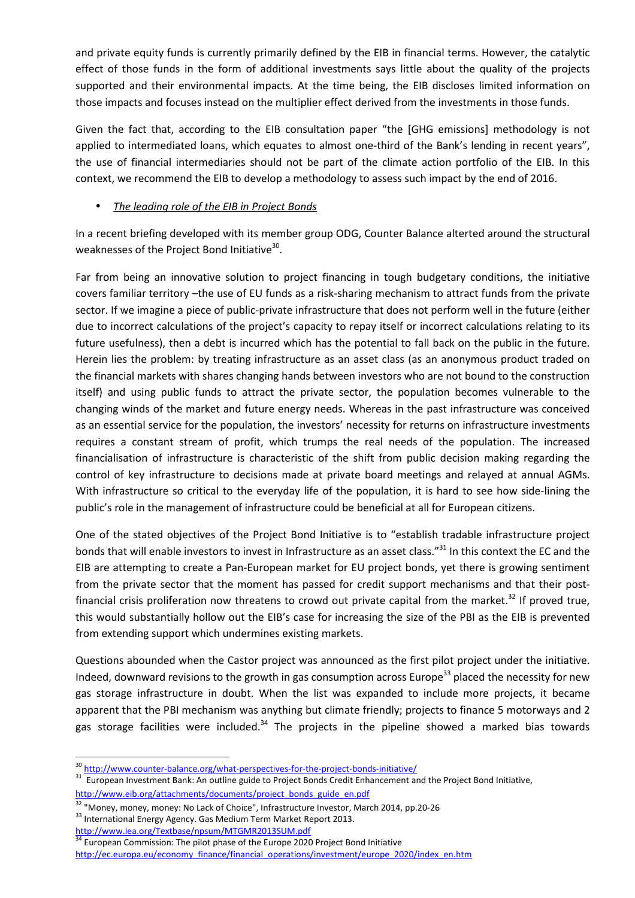and private equity funds is currently primarily defined by the EIB in financial terms. However, the catalytic effect of those funds in the form of additional investments says little about the quality of the projects supported and their environmental impacts. At the time being, the EIB discloses limited information on those impacts and focuses instead on the multiplier effect derived from the investments in those funds.

Given the fact that, according to the EIB consultation paper "the [GHG emissions] methodology is not applied to intermediated loans, which equates to almost one-third of the Bank's lending in recent years", the use of financial intermediaries should not be part of the climate action portfolio of the EIB. In this context, we recommend the EIB to develop a methodology to assess such impact by the end of 2016.

## • *The leading role of the EIB in Project Bonds*

In a recent briefing developed with its member group ODG, Counter Balance alterted around the structural weaknesses of the Project Bond Initiative $^{30}$ .

Far from being an innovative solution to project financing in tough budgetary conditions, the initiative covers familiar territory –the use of EU funds as a risk-sharing mechanism to attract funds from the private sector. If we imagine a piece of public-private infrastructure that does not perform well in the future (either due to incorrect calculations of the project's capacity to repay itself or incorrect calculations relating to its future usefulness), then a debt is incurred which has the potential to fall back on the public in the future. Herein lies the problem: by treating infrastructure as an asset class (as an anonymous product traded on the financial markets with shares changing hands between investors who are not bound to the construction itself) and using public funds to attract the private sector, the population becomes vulnerable to the changing winds of the market and future energy needs. Whereas in the past infrastructure was conceived as an essential service for the population, the investors' necessity for returns on infrastructure investments requires a constant stream of profit, which trumps the real needs of the population. The increased financialisation of infrastructure is characteristic of the shift from public decision making regarding the control of key infrastructure to decisions made at private board meetings and relayed at annual AGMs. With infrastructure so critical to the everyday life of the population, it is hard to see how side-lining the public's role in the management of infrastructure could be beneficial at all for European citizens.

One of the stated objectives of the Project Bond Initiative is to "establish tradable infrastructure project bonds that will enable investors to invest in Infrastructure as an asset class."<sup>31</sup> In this context the EC and the EIB are attempting to create a Pan-European market for EU project bonds, yet there is growing sentiment from the private sector that the moment has passed for credit support mechanisms and that their postfinancial crisis proliferation now threatens to crowd out private capital from the market. $32$  If proved true, this would substantially hollow out the EIB's case for increasing the size of the PBI as the EIB is prevented from extending support which undermines existing markets.

Questions abounded when the Castor project was announced as the first pilot project under the initiative. Indeed, downward revisions to the growth in gas consumption across Europe<sup>33</sup> placed the necessity for new gas storage infrastructure in doubt. When the list was expanded to include more projects, it became apparent that the PBI mechanism was anything but climate friendly; projects to finance 5 motorways and 2 gas storage facilities were included.<sup>34</sup> The projects in the pipeline showed a marked bias towards

http://www.iea.org/Textbase/npsum/MTGMR2013SUM.pdf

l

 $34$  European Commission: The pilot phase of the Europe 2020 Project Bond Initiative http://ec.europa.eu/economy\_finance/financial\_operations/investment/europe\_2020/index\_en.htm

<sup>30</sup> http://www.counter-balance.org/what-perspectives-for-the-project-bonds-initiative/

<sup>&</sup>lt;sup>31</sup> European Investment Bank: An outline guide to Project Bonds Credit Enhancement and the Project Bond Initiative, http://www.eib.org/attachments/documents/project\_bonds\_guide\_en.pdf

<sup>&</sup>lt;sup>32</sup> "Money, money, money: No Lack of Choice", Infrastructure Investor, March 2014, pp.20-26 33 International Energy Agency. Gas Medium Term Market Report 2013.